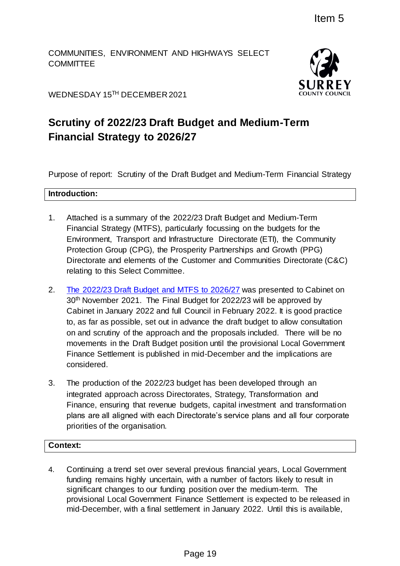COMMUNITIES, ENVIRONMENT AND HIGHWAYS SELECT **COMMITTEE** 



WEDNESDAY 15 TH DECEMBER 2021

# **Scrutiny of 2022/23 Draft Budget and Medium-Term Financial Strategy to 2026/27**

Purpose of report: Scrutiny of the Draft Budget and Medium-Term Financial Strategy

## **Introduction:**

- 1. Attached is a summary of the 2022/23 Draft Budget and Medium-Term Financial Strategy (MTFS), particularly focussing on the budgets for the Environment, Transport and Infrastructure Directorate (ETI), the Community Protection Group (CPG), the Prosperity Partnerships and Growth (PPG) Directorate and elements of the Customer and Communities Directorate (C&C) relating to this Select Committee.
- 2. The 2022/23 [Draft Budget and MTFS to 2026/27](https://mycouncil.surreycc.gov.uk/documents/s83007/22-23%20Draft%20Budget%20Report%20and%20MTFS.pdf) was presented to Cabinet on 30th November 2021. The Final Budget for 2022/23 will be approved by Cabinet in January 2022 and full Council in February 2022. It is good practice to, as far as possible, set out in advance the draft budget to allow consultation on and scrutiny of the approach and the proposals included. There will be no movements in the Draft Budget position until the provisional Local Government Finance Settlement is published in mid-December and the implications are considered. Item 5<br>
D HIGHWAYS SELECT<br>
1<br>
SUNR RE<br>
1<br>
1<br>
1<br>
1<br>
1<br>
1<br>
1<br>
1<br>
27<br>
1<br>
1<br>
2<br>
2<br>
22/23 Draft Budget and Medium-Term<br>
27<br>
2<br>
22/23 Draft Budget and Medium-Term<br>
2<br>
2<br>
22223 Draft Budget and Medium-Term<br>
2<br>
2<br>
22223 Draft Budg
- 3. The production of the 2022/23 budget has been developed through an integrated approach across Directorates, Strategy, Transformation and Finance, ensuring that revenue budgets, capital investment and transformation plans are all aligned with each Directorate's service plans and all four corporate priorities of the organisation.

## **Context:**

4. Continuing a trend set over several previous financial years, Local Government funding remains highly uncertain, with a number of factors likely to result in significant changes to our funding position over the medium-term. The provisional Local Government Finance Settlement is expected to be released in mid-December, with a final settlement in January 2022. Until this is available,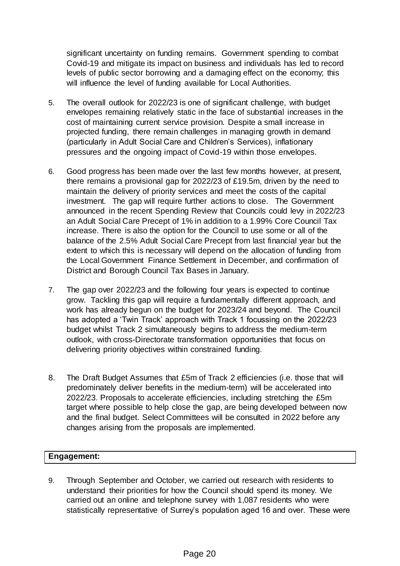significant uncertainty on funding remains. Government spending to combat Covid-19 and mitigate its impact on business and individuals has led to record levels of public sector borrowing and a damaging effect on the economy; this will influence the level of funding available for Local Authorities.

- 5. The overall outlook for 2022/23 is one of significant challenge, with budget envelopes remaining relatively static in the face of substantial increases in the cost of maintaining current service provision. Despite a small increase in projected funding, there remain challenges in managing growth in demand (particularly in Adult Social Care and Children's Services), inflationary pressures and the ongoing impact of Covid-19 within those envelopes.
- 6. Good progress has been made over the last few months however, at present, there remains a provisional gap for 2022/23 of £19.5m, driven by the need to maintain the delivery of priority services and meet the costs of the capital investment. The gap will require further actions to close. The Government announced in the recent Spending Review that Councils could levy in 2022/23 an Adult Social Care Precept of 1% in addition to a 1.99% Core Council Tax increase. There is also the option for the Council to use some or all of the balance of the 2.5% Adult Social Care Precept from last financial year but the extent to which this is necessary will depend on the allocation of funding from the Local Government Finance Settlement in December, and confirmation of District and Borough Council Tax Bases in January.
- 7. The gap over 2022/23 and the following four years is expected to continue grow. Tackling this gap will require a fundamentally different approach, and work has already begun on the budget for 2023/24 and beyond. The Council has adopted a 'Twin Track' approach with Track 1 focussing on the 2022/23 budget whilst Track 2 simultaneously begins to address the medium-term outlook, with cross-Directorate transformation opportunities that focus on delivering priority objectives within constrained funding.
- 8. The Draft Budget Assumes that £5m of Track 2 efficiencies (i.e. those that will predominately deliver benefits in the medium-term) will be accelerated into 2022/23. Proposals to accelerate efficiencies, including stretching the £5m target where possible to help close the gap, are being developed between now and the final budget. Select Committees will be consulted in 2022 before any changes arising from the proposals are implemented.

### **Engagement:**

9. Through September and October, we carried out research with residents to understand their priorities for how the Council should spend its money. We carried out an online and telephone survey with 1,087 residents who were statistically representative of Surrey's population aged 16 and over. These were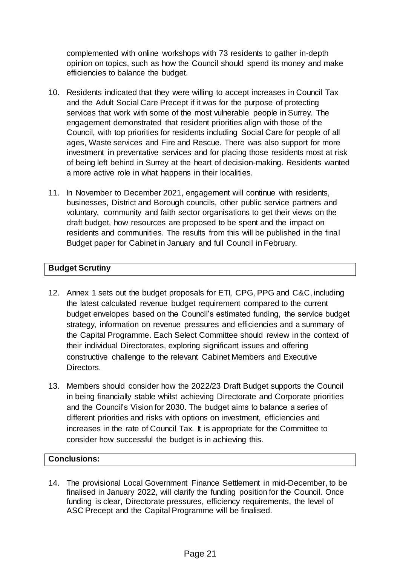complemented with online workshops with 73 residents to gather in-depth opinion on topics, such as how the Council should spend its money and make efficiencies to balance the budget.

- 10. Residents indicated that they were willing to accept increases in Council Tax and the Adult Social Care Precept if it was for the purpose of protecting services that work with some of the most vulnerable people in Surrey. The engagement demonstrated that resident priorities align with those of the Council, with top priorities for residents including Social Care for people of all ages, Waste services and Fire and Rescue. There was also support for more investment in preventative services and for placing those residents most at risk of being left behind in Surrey at the heart of decision-making. Residents wanted a more active role in what happens in their localities.
- 11. In November to December 2021, engagement will continue with residents, businesses, District and Borough councils, other public service partners and voluntary, community and faith sector organisations to get their views on the draft budget, how resources are proposed to be spent and the impact on residents and communities. The results from this will be published in the final Budget paper for Cabinet in January and full Council in February.

## **Budget Scrutiny**

- 12. Annex 1 sets out the budget proposals for ETI, CPG, PPG and C&C, including the latest calculated revenue budget requirement compared to the current budget envelopes based on the Council's estimated funding, the service budget strategy, information on revenue pressures and efficiencies and a summary of the Capital Programme. Each Select Committee should review in the context of their individual Directorates, exploring significant issues and offering constructive challenge to the relevant Cabinet Members and Executive Directors.
- 13. Members should consider how the 2022/23 Draft Budget supports the Council in being financially stable whilst achieving Directorate and Corporate priorities and the Council's Vision for 2030. The budget aims to balance a series of different priorities and risks with options on investment, efficiencies and increases in the rate of Council Tax. It is appropriate for the Committee to consider how successful the budget is in achieving this.

## **Conclusions:**

14. The provisional Local Government Finance Settlement in mid-December, to be finalised in January 2022, will clarify the funding position for the Council. Once funding is clear, Directorate pressures, efficiency requirements, the level of ASC Precept and the Capital Programme will be finalised.